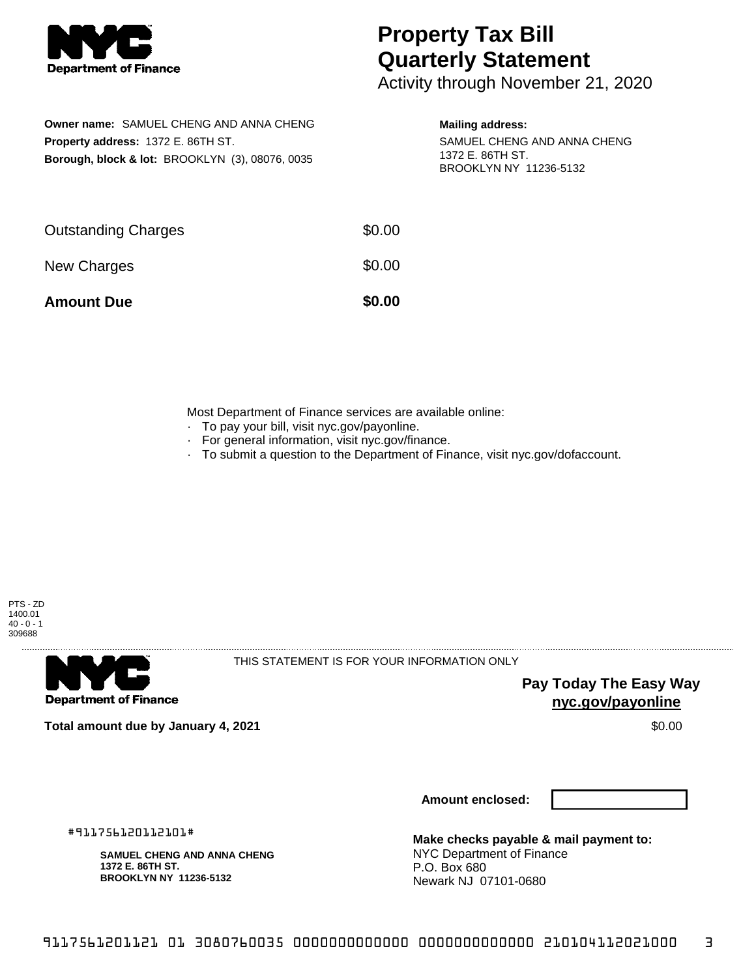

## **Property Tax Bill Quarterly Statement**

Activity through November 21, 2020

**Owner name:** SAMUEL CHENG AND ANNA CHENG **Property address:** 1372 E. 86TH ST. **Borough, block & lot:** BROOKLYN (3), 08076, 0035

## **Mailing address:**

SAMUEL CHENG AND ANNA CHENG 1372 E. 86TH ST. BROOKLYN NY 11236-5132

| <b>Amount Due</b>          | \$0.00 |
|----------------------------|--------|
| New Charges                | \$0.00 |
| <b>Outstanding Charges</b> | \$0.00 |

Most Department of Finance services are available online:

- · To pay your bill, visit nyc.gov/payonline.
- For general information, visit nyc.gov/finance.
- · To submit a question to the Department of Finance, visit nyc.gov/dofaccount.



**Department of Finance** 

THIS STATEMENT IS FOR YOUR INFORMATION ONLY

**Pay Today The Easy Way nyc.gov/payonline**

**Total amount due by January 4, 2021** \$0.00

**Amount enclosed:**

#911756120112101#

**SAMUEL CHENG AND ANNA CHENG 1372 E. 86TH ST. BROOKLYN NY 11236-5132**

**Make checks payable & mail payment to:** NYC Department of Finance P.O. Box 680 Newark NJ 07101-0680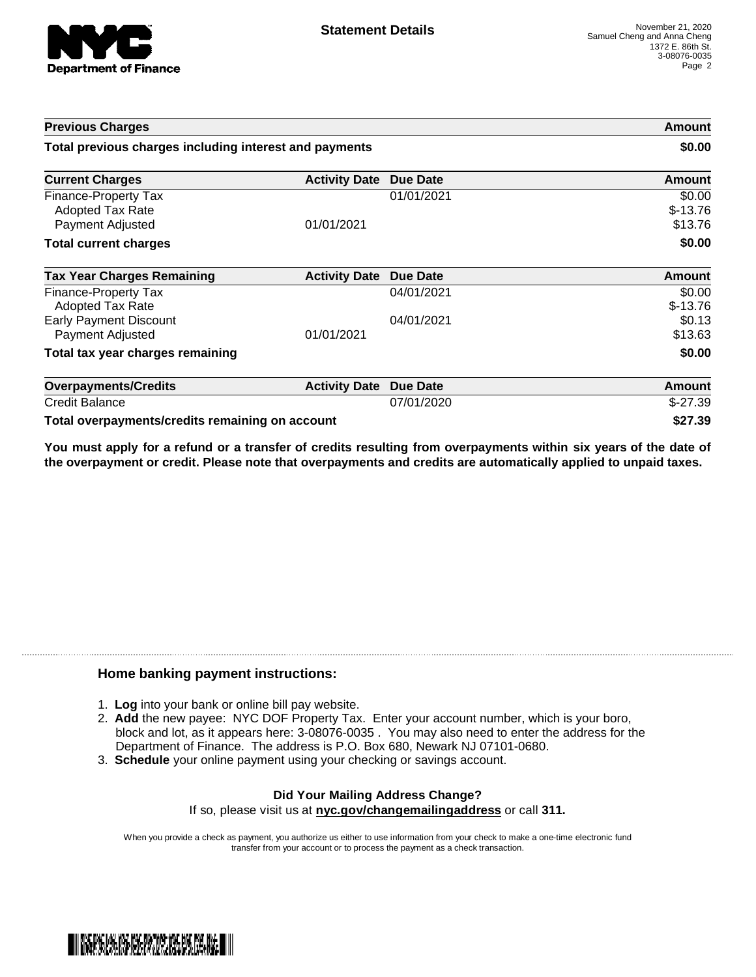

| <b>Previous Charges</b>                                             |                      | Amount<br>\$0.00 |                                |
|---------------------------------------------------------------------|----------------------|------------------|--------------------------------|
| Total previous charges including interest and payments              |                      |                  |                                |
| <b>Current Charges</b>                                              | <b>Activity Date</b> | <b>Due Date</b>  | <b>Amount</b>                  |
| Finance-Property Tax<br><b>Adopted Tax Rate</b><br>Payment Adjusted | 01/01/2021           | 01/01/2021       | \$0.00<br>$$-13.76$<br>\$13.76 |
| <b>Total current charges</b>                                        |                      |                  | \$0.00                         |
| <b>Tax Year Charges Remaining</b>                                   | <b>Activity Date</b> | <b>Due Date</b>  | <b>Amount</b>                  |
| <b>Finance-Property Tax</b><br><b>Adopted Tax Rate</b>              |                      | 04/01/2021       | \$0.00<br>$$-13.76$            |
| <b>Early Payment Discount</b><br>Payment Adjusted                   | 01/01/2021           | 04/01/2021       | \$0.13<br>\$13.63              |
| Total tax year charges remaining                                    |                      |                  | \$0.00                         |
| <b>Overpayments/Credits</b>                                         | <b>Activity Date</b> | <b>Due Date</b>  | <b>Amount</b>                  |
| <b>Credit Balance</b>                                               |                      | 07/01/2020       | $$-27.39$                      |
| Total overpayments/credits remaining on account                     |                      |                  | \$27.39                        |

You must apply for a refund or a transfer of credits resulting from overpayments within six years of the date of **the overpayment or credit. Please note that overpayments and credits are automatically applied to unpaid taxes.**

## **Home banking payment instructions:**

- 1. **Log** into your bank or online bill pay website.
- 2. **Add** the new payee: NYC DOF Property Tax. Enter your account number, which is your boro, block and lot, as it appears here: 3-08076-0035 . You may also need to enter the address for the Department of Finance. The address is P.O. Box 680, Newark NJ 07101-0680.
- 3. **Schedule** your online payment using your checking or savings account.

## **Did Your Mailing Address Change?** If so, please visit us at **nyc.gov/changemailingaddress** or call **311.**

When you provide a check as payment, you authorize us either to use information from your check to make a one-time electronic fund transfer from your account or to process the payment as a check transaction.